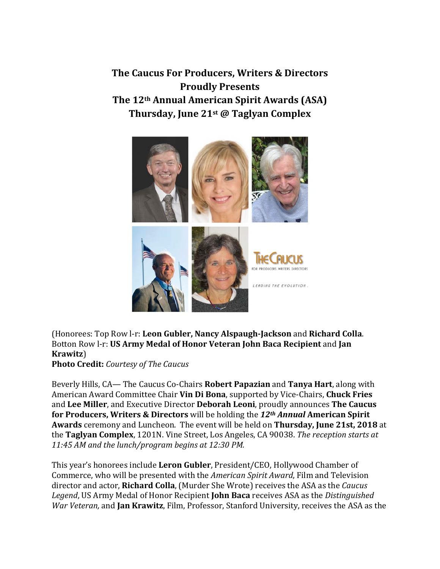**The Caucus For Producers, Writers & Directors Proudly Presents The 12th Annual American Spirit Awards (ASA) Thursday, June 21st @ Taglyan Complex**



## (Honorees: Top Row l-r: **Leon Gubler, Nancy Alspaugh-Jackson** and **Richard Colla**. Botton Row l-r: **US Army Medal of Honor Veteran John Baca Recipient** and **Jan Krawitz**)

**Photo Credit:** *Courtesy of The Caucus*

Beverly Hills, CA— The Caucus Co-Chairs **Robert Papazian** and **Tanya Hart**, along with American Award Committee Chair **Vin Di Bona**, supported by Vice-Chairs, **Chuck Fries**  and **Lee Miller**, and Executive Director **Deborah Leoni**, proudly announces **The Caucus for Producers, Writers & Directors** will be holding the *12th Annual* **American Spirit Awards** ceremony and Luncheon. The event will be held on **Thursday, June 21st, 2018** at the **Taglyan Complex**, 1201N. Vine Street, Los Angeles, CA 90038. *The reception starts at 11:45 AM and the lunch/program begins at 12:30 PM.*

This year's honorees include **Leron Gubler**, President/CEO, Hollywood Chamber of Commerce, who will be presented with the *American Spirit Award*, Film and Television director and actor, **Richard Colla**, (Murder She Wrote) receives the ASA as the *Caucus Legend*, US Army Medal of Honor Recipient **John Baca** receives ASA as the *Distinguished War Veteran,* and **Jan Krawitz**, Film, Professor, Stanford University, receives the ASA as the